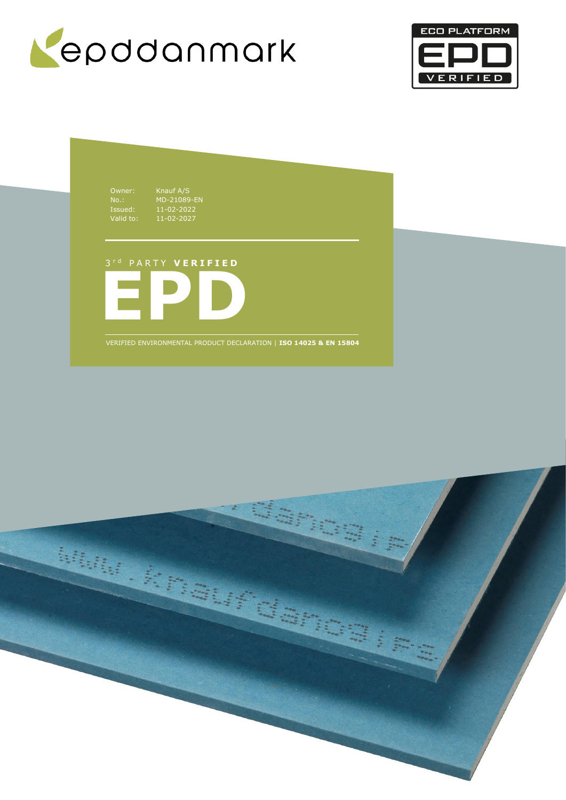



Owner: Knauf A/S<br>
No.: MD-21089<br>
Issued: 11-02-202<br>
Valid to: 11-02-202 Issued: 11-02-2022 Valid to: 11-02-2027

No.: MD-21089-EN

3 r d P A R T Y **V E R I F I E D**



VERIFIED ENVIRONMENTAL PRODUCT DECLARATION | **ISO 14025 & EN 15804**

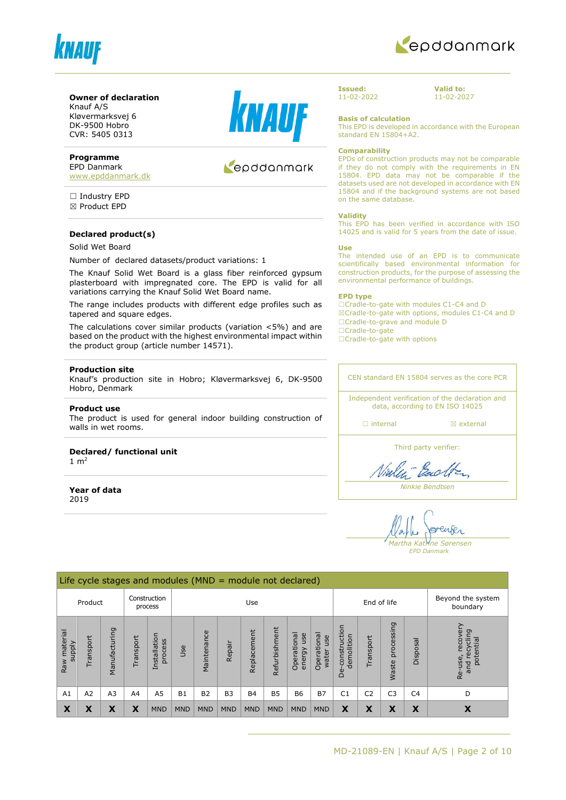



#### **Owner of declaration**

Knauf A/S Kløvermarksvej 6 DK-9500 Hobro CVR: 5405 0313

#### **Programme**

EPD Danmark [www.epddanmark.dk](http://www.epddanmark.dk/)

☐ Industry EPD ☒ Product EPD

#### **Declared product(s)**

#### Solid Wet Board

Number of declared datasets/product variations: 1

The Knauf Solid Wet Board is a glass fiber reinforced gypsum plasterboard with impregnated core. The EPD is valid for all variations carrying the Knauf Solid Wet Board name.

The range includes products with different edge profiles such as tapered and square edges.

The calculations cover similar products (variation <5%) and are based on the product with the highest environmental impact within the product group (article number 14571).

#### **Production site**

Knauf's production site in Hobro; Kløvermarksvej 6, DK-9500 Hobro, Denmark

#### **Product use**

The product is used for general indoor building construction of walls in wet rooms.

# **Declared/ functional unit**

 $1 \text{ m}^2$ 

**Year of data** 2019



# Kepddanmark

**Issued:** 11-02-2022 **Valid to:** 11-02-2027

**Basis of calculation**

This EPD is developed in accordance with the European standard EN 15804+A2.

#### **Comparability**

EPDs of construction products may not be comparable if they do not comply with the requirements in EN 15804. EPD data may not be comparable if the datasets used are not developed in accordance with EN 15804 and if the background systems are not based on the same database.

#### **Validity**

This EPD has been verified in accordance with ISO 14025 and is valid for 5 years from the date of issue.

#### **Use**

The intended use of an EPD is to communicate scientifically based environmental information for construction products, for the purpose of assessing the environmental performance of buildings.

#### **EPD type**

☐Cradle-to-gate with modules C1-C4 and D ☒Cradle-to-gate with options, modules C1-C4 and D ☐Cradle-to-grave and module D ☐Cradle-to-gate

□Cradle-to-gate with options

CEN standard EN 15804 serves as the core PCR

Independent verification of the declaration and data, according to EN ISO 14025

□ internal **a** external

Third party verifier:

Viales Each

*Ninkie Bendtsen*

enser *Martha Katrine Sørensen*

*EPD Danmark*

|                               | Life cycle stages and modules ( $MND =$ module not declared) |                |             |                         |            |                               |            |             |               |                              |                               |                                 |                |                            |                |                                                          |
|-------------------------------|--------------------------------------------------------------|----------------|-------------|-------------------------|------------|-------------------------------|------------|-------------|---------------|------------------------------|-------------------------------|---------------------------------|----------------|----------------------------|----------------|----------------------------------------------------------|
|                               | Construction<br>Product<br>Use<br>process                    |                | End of life |                         |            | Beyond the system<br>boundary |            |             |               |                              |                               |                                 |                |                            |                |                                                          |
| Raw material<br><b>Alddns</b> | Transport                                                    | Manufacturing  | Transport   | Installation<br>process | Jse        | Maintenance                   | Repair     | Replacement | Refurbishment | Operational<br>use<br>energy | Operational<br>use<br>water I | construction<br>demolition<br>ف | Transport      | processing<br><b>Waste</b> | Disposal       | recovery<br>cling<br>potential<br>recy<br>Re-use,<br>and |
| A1                            | A2                                                           | A <sub>3</sub> | A4          | A <sub>5</sub>          | <b>B1</b>  | <b>B2</b>                     | <b>B3</b>  | <b>B4</b>   | <b>B5</b>     | <b>B6</b>                    | <b>B7</b>                     | C <sub>1</sub>                  | C <sub>2</sub> | C <sub>3</sub>             | C <sub>4</sub> | D                                                        |
| X                             | X                                                            | X              | X           | <b>MND</b>              | <b>MND</b> | <b>MND</b>                    | <b>MND</b> | <b>MND</b>  | <b>MND</b>    | <b>MND</b>                   | <b>MND</b>                    | X                               | X              | X                          | X              | X                                                        |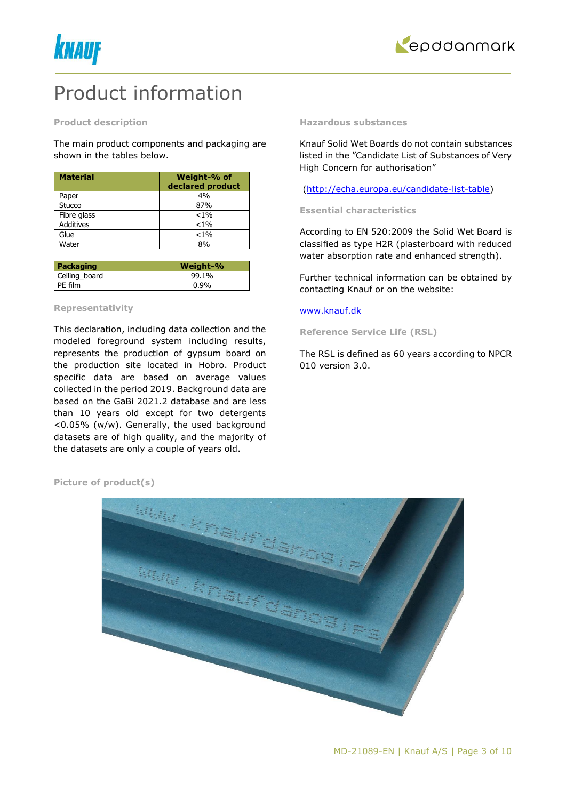



# Product information

#### **Product description**

The main product components and packaging are shown in the tables below.

| <b>Material</b>  | Weight-% of<br>declared product |
|------------------|---------------------------------|
| Paper            | 4%                              |
| Stucco           | 87%                             |
| Fibre glass      | $< 1\%$                         |
| <b>Additives</b> | $< 1\%$                         |
| Glue             | $< 1\%$                         |
| Water            | 8%                              |

| Packaging     | Weight-% |
|---------------|----------|
| Ceiling board | 99.1%    |
| PE film       | $0.9\%$  |

### **Representativity**

This declaration, including data collection and the modeled foreground system including results, represents the production of gypsum board on the production site located in Hobro. Product specific data are based on average values collected in the period 2019. Background data are based on the GaBi 2021.2 database and are less than 10 years old except for two detergents <0.05% (w/w). Generally, the used background datasets are of high quality, and the majority of the datasets are only a couple of years old.

#### **Hazardous substances**

Knauf Solid Wet Boards do not contain substances listed in the "Candidate List of Substances of Very High Concern for authorisation"

#### [\(http://echa.europa.eu/candidate-list-table\)](http://echa.europa.eu/candidate-list-table)

#### **Essential characteristics**

According to EN 520:2009 the Solid Wet Board is classified as type H2R (plasterboard with reduced water absorption rate and enhanced strength).

Further technical information can be obtained by contacting Knauf or on the website:

#### [www.knauf.dk](http://www.knauf.dk/)

**Reference Service Life (RSL)**

The RSL is defined as 60 years according to NPCR 010 version 3.0.

**Picture of product(s)**

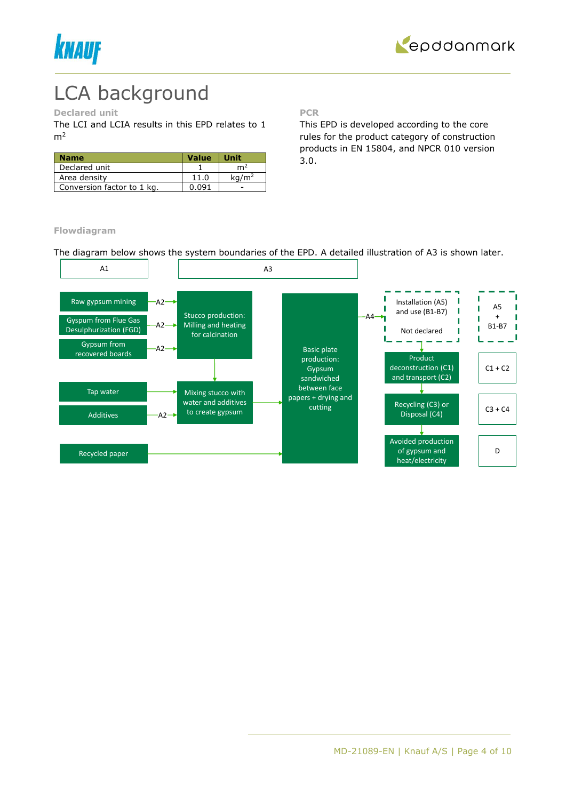



# LCA background

### **Declared unit**

The LCI and LCIA results in this EPD relates to 1  $m<sup>2</sup>$ 

| <b>Name</b>                | <b>Value</b> | <b>Unit</b>       |
|----------------------------|--------------|-------------------|
| Declared unit              |              | m                 |
| Area density               | 11.0         | ka/m <sup>2</sup> |
| Conversion factor to 1 kg. | በ በ91        |                   |

**PCR**

This EPD is developed according to the core rules for the product category of construction products in EN 15804, and NPCR 010 version 3.0.

**Flowdiagram**

The diagram below shows the system boundaries of the EPD. A detailed illustration of A3 is shown later.

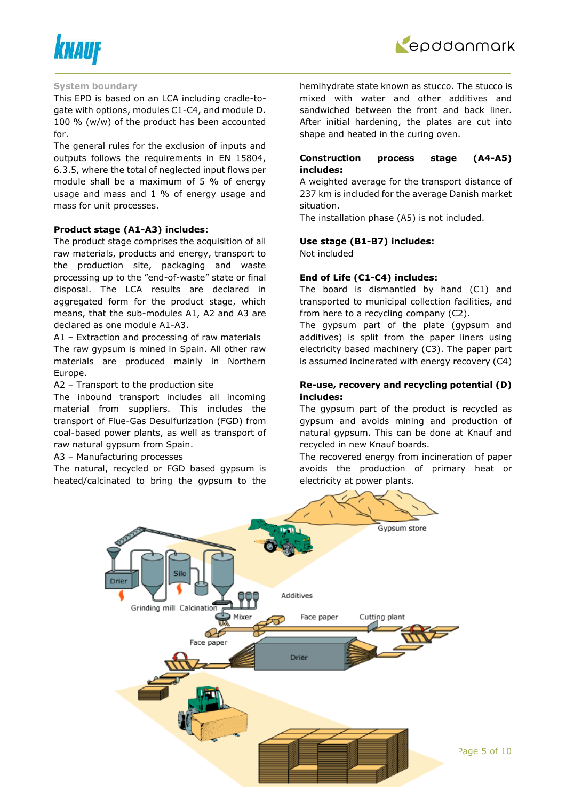



#### **System boundary**

This EPD is based on an LCA including cradle-togate with options, modules C1-C4, and module D. 100 % (w/w) of the product has been accounted for.

The general rules for the exclusion of inputs and outputs follows the requirements in EN 15804, 6.3.5, where the total of neglected input flows per module shall be a maximum of 5 % of energy usage and mass and 1 % of energy usage and mass for unit processes.

### **Product stage (A1-A3) includes**:

The product stage comprises the acquisition of all raw materials, products and energy, transport to the production site, packaging and waste processing up to the "end-of-waste" state or final disposal. The LCA results are declared in aggregated form for the product stage, which means, that the sub-modules A1, A2 and A3 are declared as one module A1-A3.

A1 – Extraction and processing of raw materials The raw gypsum is mined in Spain. All other raw materials are produced mainly in Northern Europe.

A2 – Transport to the production site

The inbound transport includes all incoming material from suppliers. This includes the transport of Flue-Gas Desulfurization (FGD) from coal-based power plants, as well as transport of raw natural gypsum from Spain.

A3 – Manufacturing processes

The natural, recycled or FGD based gypsum is heated/calcinated to bring the gypsum to the hemihydrate state known as stucco. The stucco is mixed with water and other additives and sandwiched between the front and back liner. After initial hardening, the plates are cut into shape and heated in the curing oven.

# **Construction process stage (A4-A5) includes:**

A weighted average for the transport distance of 237 km is included for the average Danish market situation.

The installation phase (A5) is not included.

# **Use stage (B1-B7) includes:**

Not included

### **End of Life (C1-C4) includes:**

The board is dismantled by hand (C1) and transported to municipal collection facilities, and from here to a recycling company (C2).

The gypsum part of the plate (gypsum and additives) is split from the paper liners using electricity based machinery (C3). The paper part is assumed incinerated with energy recovery (C4)

# **Re-use, recovery and recycling potential (D) includes:**

The gypsum part of the product is recycled as gypsum and avoids mining and production of natural gypsum. This can be done at Knauf and recycled in new Knauf boards.

The recovered energy from incineration of paper avoids the production of primary heat or electricity at power plants.

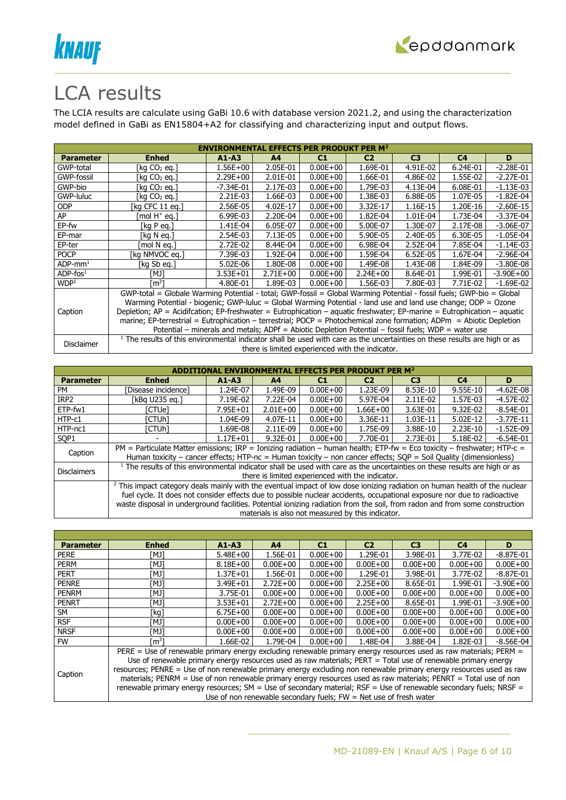



# LCA results

The LCIA results are calculate using GaBi 10.6 with database version 2021.2, and using the characterization model defined in GaBi as EN15804+A2 for classifying and characterizing input and output flows.

|                        | <b>ENVIRONMENTAL EFFECTS PER PRODUKT PER M<sup>2</sup></b>                                                                            |               |                |              |                                                  |                |                |               |  |  |
|------------------------|---------------------------------------------------------------------------------------------------------------------------------------|---------------|----------------|--------------|--------------------------------------------------|----------------|----------------|---------------|--|--|
| <b>Parameter</b>       | <b>Enhed</b>                                                                                                                          | $A1 - A3$     | A <sup>4</sup> | C1           | C <sub>2</sub>                                   | C <sub>3</sub> | C <sub>4</sub> | D             |  |  |
| GWP-total              | [kg CO2 eg.]                                                                                                                          | $1.56E + 00$  | 2.05E-01       | $0.00E + 00$ | 1.69E-01                                         | 4.91E-02       | 6.24E-01       | $-2.28E - 01$ |  |  |
| GWP-fossil             | [kg $CO2$ eg.]                                                                                                                        | $2.29E + 00$  | 2.01E-01       | $0.00E + 00$ | 1.66E-01                                         | 4.86E-02       | 1.55E-02       | $-2.27E-01$   |  |  |
| GWP-bio                | [kg CO2 eg.]                                                                                                                          | $-7.34E - 01$ | 2.17E-03       | $0.00E + 00$ | 1.79E-03                                         | 4.13E-04       | 6.08E-01       | $-1.13E-03$   |  |  |
| GWP-luluc              | [kg CO2 eg.]                                                                                                                          | 2.21E-03      | 1.66E-03       | $0.00E + 00$ | 1.38E-03                                         | 6.88E-05       | 1.07E-05       | $-1.82E-04$   |  |  |
| <b>ODP</b>             | [kg CFC 11 eg.]                                                                                                                       | 2.56E-05      | 4.02E-17       | $0.00E + 00$ | 3.32E-17                                         | 1.16E-15       | 1.20E-16       | $-2.60E-15$   |  |  |
| AP                     | mol H <sup>+</sup> eq.]                                                                                                               | 6.99E-03      | 2.20E-04       | $0.00E + 00$ | 1.82E-04                                         | 1.01E-04       | 1.73E-04       | $-3.37E-04$   |  |  |
| EP-fw                  | [kg P eq.]                                                                                                                            | 1.41E-04      | 6.05E-07       | $0.00E + 00$ | 5.00E-07                                         | 1.30E-07       | 2.17E-08       | $-3.06E-07$   |  |  |
| EP-mar                 | [kg N eg.]                                                                                                                            | 2.54E-03      | 7.13E-05       | $0.00E + 00$ | 5.90E-05                                         | 2.40E-05       | 6.30E-05       | $-1.05E-04$   |  |  |
| EP-ter                 | mol N ea.1                                                                                                                            | 2.72E-02      | 8.44E-04       | $0.00E + 00$ | 6.98E-04                                         | 2.52E-04       | 7.85E-04       | $-1.14E-03$   |  |  |
| <b>POCP</b>            | [kg NMVOC eg.]                                                                                                                        | 7.39E-03      | 1.92E-04       | $0.00E + 00$ | 1.59E-04                                         | $6.52E-05$     | 1.67E-04       | $-2.96E-04$   |  |  |
| $ADP$ -mm <sup>1</sup> | [kg Sb eg.]                                                                                                                           | 5.02E-06      | 1.80E-08       | $0.00E + 00$ | 1.49E-08                                         | 1.43E-08       | 1.84E-09       | $-3.80E-08$   |  |  |
| $ADP$ -fos $1$         | [MJ]                                                                                                                                  | $3.53E + 01$  | $2.71E+00$     | $0.00E + 00$ | $2.24E+00$                                       | 8.64E-01       | 1.99E-01       | $-3.90E + 00$ |  |  |
| WDP <sup>1</sup>       | [m <sup>3</sup> ]                                                                                                                     | 4.80E-01      | 1.89E-03       | $0.00E + 00$ | 1.56E-03                                         | 7.80E-03       | 7.71E-02       | $-1.69E-02$   |  |  |
|                        | GWP-total = Globale Warming Potential - total; GWP-fossil = Global Warming Potential - fossil fuels; GWP-bio = Global                 |               |                |              |                                                  |                |                |               |  |  |
|                        | Warming Potential - biogenic; GWP-luluc = Global Warming Potential - land use and land use change; ODP = Ozone                        |               |                |              |                                                  |                |                |               |  |  |
| Caption                | Depletion; AP = Acidifcation; EP-freshwater = Eutrophication – aquatic freshwater; EP-marine = Eutrophication – aquatic               |               |                |              |                                                  |                |                |               |  |  |
|                        | marine; EP-terrestrial = Eutrophication - terrestrial; POCP = Photochemical zone formation; ADPm = Abiotic Depletion                  |               |                |              |                                                  |                |                |               |  |  |
|                        | Potential – minerals and metals; ADPf = Abiotic Depletion Potential – fossil fuels; WDP = water use                                   |               |                |              |                                                  |                |                |               |  |  |
|                        | <sup>1</sup> The results of this environmental indicator shall be used with care as the uncertainties on these results are high or as |               |                |              |                                                  |                |                |               |  |  |
| Disclaimer             |                                                                                                                                       |               |                |              | there is limited experienced with the indicator. |                |                |               |  |  |

|                    |                                                                                                                                                                                                                                                                                                                                                                                                  |              |                | IMENTAL EFFECTS PER PRODUKT |                                                   | <b>PFR M<sup>2</sup></b> |                |             |
|--------------------|--------------------------------------------------------------------------------------------------------------------------------------------------------------------------------------------------------------------------------------------------------------------------------------------------------------------------------------------------------------------------------------------------|--------------|----------------|-----------------------------|---------------------------------------------------|--------------------------|----------------|-------------|
| <b>Parameter</b>   | <b>Enhed</b>                                                                                                                                                                                                                                                                                                                                                                                     | $A1 - A3$    | A <sub>4</sub> | C1                          | C <sub>2</sub>                                    | C <sub>3</sub>           | C <sub>4</sub> | D           |
| PM                 | Disease incidence1                                                                                                                                                                                                                                                                                                                                                                               | 1.24E-07     | 1.49E-09       | $0.00E + 00$                | 1.23E-09                                          | 8.53E-10                 | 9.55E-10       | $-4.62E-08$ |
| IRP <sub>2</sub>   | [kBa U235 ea.]                                                                                                                                                                                                                                                                                                                                                                                   | 7.19E-02     | 7.22E-04       | $0.00E + 00$                | 5.97E-04                                          | $2.11E-02$               | 1.57E-03       | $-4.57E-02$ |
| ETP-fw1            | [CTUe]                                                                                                                                                                                                                                                                                                                                                                                           | 7.95E+01     | $2.01E + 00$   | $0.00E + 00$                | $1.66E + 00$                                      | 3.63E-01                 | 9.32E-02       | $-8.54E-01$ |
| HTP-c1             | ัCTUh1                                                                                                                                                                                                                                                                                                                                                                                           | 1.04E-09     | 4.07E-11       | $0.00E + 00$                | 3.36E-11                                          | 1.03E-11                 | 5.02E-12       | $-3.77E-11$ |
| HTP-nc1            | [CTUh]                                                                                                                                                                                                                                                                                                                                                                                           | 1.69E-08     | 2.11E-09       | $0.00E + 00$                | 1.75E-09                                          | 3.88E-10                 | 2.23E-10       | $-1.52E-09$ |
| SOP <sub>1</sub>   |                                                                                                                                                                                                                                                                                                                                                                                                  | $1.17E + 01$ | 9.32E-01       | $0.00E + 00$                | 7.70E-01                                          | 2.73E-01                 | 5.18E-02       | $-6.54E-01$ |
| Caption            | PM = Particulate Matter emissions; IRP = Ionizing radiation - human health; ETP-fw = Eco toxicity - freshwater; HTP-c =<br>Human toxicity – cancer effects; HTP-nc = Human toxicity – non cancer effects; SQP = Soil Quality (dimensionless)                                                                                                                                                     |              |                |                             |                                                   |                          |                |             |
| <b>Disclaimers</b> | $1$ The results of this environmental indicator shall be used with care as the uncertainties on these results are high or as                                                                                                                                                                                                                                                                     |              |                |                             | there is limited experienced with the indicator.  |                          |                |             |
|                    | <sup>2</sup> This impact category deals mainly with the eventual impact of low dose ionizing radiation on human health of the nuclear<br>fuel cycle. It does not consider effects due to possible nuclear accidents, occupational exposure nor due to radioactive<br>waste disposal in underground facilities. Potential ionizing radiation from the soil, from radon and from some construction |              |                |                             |                                                   |                          |                |             |
|                    |                                                                                                                                                                                                                                                                                                                                                                                                  |              |                |                             | materials is also not measured by this indicator. |                          |                |             |

| <b>Parameter</b> | <b>Enhed</b>                                                                                                       | $A1 - A3$                                                                                                           | A <sup>4</sup> | C1           | C <sub>2</sub> | C <sub>3</sub> | C <sub>4</sub> | D             |  |  |
|------------------|--------------------------------------------------------------------------------------------------------------------|---------------------------------------------------------------------------------------------------------------------|----------------|--------------|----------------|----------------|----------------|---------------|--|--|
| <b>PERE</b>      | TMJ1                                                                                                               | $5.48E + 00$                                                                                                        | 1.56E-01       | $0.00E + 00$ | 1.29E-01       | 3.98E-01       | 3.77E-02       | $-8.87E - 01$ |  |  |
| <b>PERM</b>      | TMJ1                                                                                                               | $8.18E + 00$                                                                                                        | $0.00E + 00$   | $0.00E + 00$ | $0.00E + 00$   | $0.00E + 00$   | $0.00E + 00$   | $0.00E + 00$  |  |  |
| <b>PERT</b>      | [MJ]                                                                                                               | $1.37E + 01$                                                                                                        | 1.56E-01       | $0.00E + 00$ | 1.29E-01       | 3.98E-01       | 3.77E-02       | $-8.87E - 01$ |  |  |
| <b>PENRE</b>     | [MJ]                                                                                                               | 3.49E+01                                                                                                            | $2.72E + 00$   | $0.00E + 00$ | $2.25E+00$     | 8.65E-01       | 1.99E-01       | $-3.90E + 00$ |  |  |
| <b>PENRM</b>     | [MJ]                                                                                                               | 3.75E-01                                                                                                            | $0.00E + 00$   | $0.00E + 00$ | $0.00E + 00$   | $0.00E + 00$   | $0.00E + 00$   | $0.00E + 00$  |  |  |
| <b>PENRT</b>     | [MJ]                                                                                                               | $3.53E + 01$                                                                                                        | $2.72E + 00$   | $0.00E + 00$ | $2.25E+00$     | 8.65E-01       | 1.99E-01       | $-3.90E + 00$ |  |  |
| <b>SM</b>        | [kg]                                                                                                               | $6.75E + 00$                                                                                                        | $0.00E + 00$   | $0.00E + 00$ | $0.00E + 00$   | $0.00E + 00$   | $0.00E + 00$   | $0.00E + 00$  |  |  |
| <b>RSF</b>       | TMJ1                                                                                                               | $0.00E + 00$                                                                                                        | $0.00E + 00$   | $0.00E + 00$ | $0.00E + 00$   | $0.00E + 00$   | $0.00E + 00$   | $0.00E + 00$  |  |  |
| <b>NRSF</b>      | [MJ]                                                                                                               | $0.00E + 00$                                                                                                        | $0.00E + 00$   | $0.00E + 00$ | $0.00E + 00$   | $0.00E + 00$   | $0.00E + 00$   | $0.00E + 00$  |  |  |
| <b>FW</b>        | m31                                                                                                                | 1.66E-02                                                                                                            | 1.79E-04       | $0.00E + 00$ | 1.48E-04       | 3.88E-04       | 1.82E-03       | $-8.56E-04$   |  |  |
|                  | PERE = Use of renewable primary energy excluding renewable primary energy resources used as raw materials; PERM =  |                                                                                                                     |                |              |                |                |                |               |  |  |
|                  |                                                                                                                    | Use of renewable primary energy resources used as raw materials; PERT = Total use of renewable primary energy       |                |              |                |                |                |               |  |  |
|                  |                                                                                                                    | resources; PENRE = Use of non renewable primary energy excluding non renewable primary energy resources used as raw |                |              |                |                |                |               |  |  |
| Caption          | materials; PENRM = Use of non renewable primary energy resources used as raw materials; PENRT = Total use of non   |                                                                                                                     |                |              |                |                |                |               |  |  |
|                  | renewable primary energy resources; SM = Use of secondary material; RSF = Use of renewable secondary fuels; NRSF = |                                                                                                                     |                |              |                |                |                |               |  |  |

Use of non renewable secondary fuels;  $FW = Net$  use of fresh water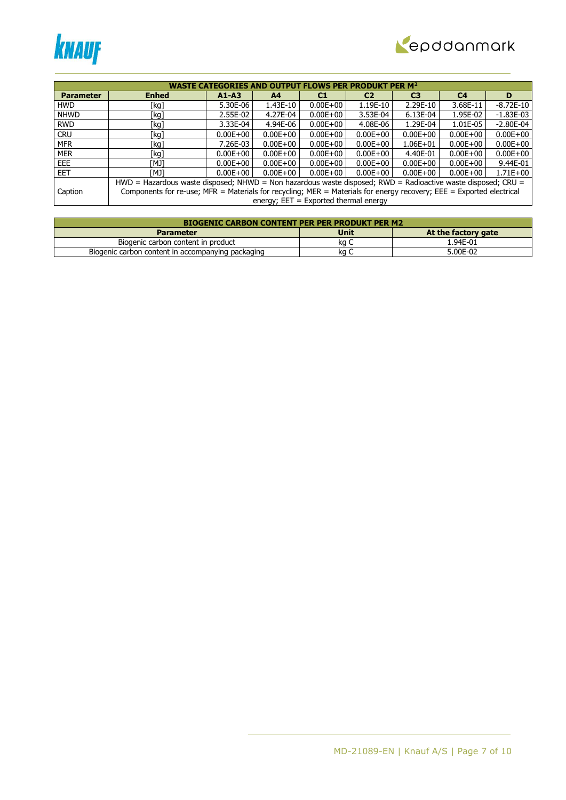



|                  |                                                                                                                      | <b>WASTE CATEGORIES</b> |                                         |              | WS PER PRODUKT | <b>PER M<sup>2</sup></b> |                |               |  |
|------------------|----------------------------------------------------------------------------------------------------------------------|-------------------------|-----------------------------------------|--------------|----------------|--------------------------|----------------|---------------|--|
|                  |                                                                                                                      |                         |                                         |              |                |                          |                |               |  |
| <b>Parameter</b> | <b>Enhed</b>                                                                                                         | $A1 - A3$               | A <sub>4</sub>                          | C1           | C <sub>2</sub> | C <sub>3</sub>           | C <sub>4</sub> | D             |  |
| <b>HWD</b>       | [kg]                                                                                                                 | 5.30E-06                | 1.43E-10                                | $0.00E + 00$ | 1.19E-10       | 2.29E-10                 | 3.68E-11       | -8.72E-10     |  |
| <b>NHWD</b>      | [kg]                                                                                                                 | 2.55E-02                | 4.27E-04                                | $0.00E + 00$ | 3.53E-04       | 6.13E-04                 | 1.95E-02       | $-1.83E-03$   |  |
| <b>RWD</b>       | [kg]                                                                                                                 | 3.33E-04                | 4.94E-06                                | $0.00E + 00$ | 4.08E-06       | 1.29E-04                 | 1.01E-05       | $-2.80E - 04$ |  |
| <b>CRU</b>       | [kg]                                                                                                                 | $0.00E + 00$            | $0.00E + 00$                            | $0.00E + 00$ | $0.00E + 00$   | $0.00E + 00$             | $0.00E + 00$   | $0.00E + 00$  |  |
| <b>MFR</b>       | [kg]                                                                                                                 | 7.26E-03                | $0.00E + 00$                            | $0.00E + 00$ | $0.00E + 00$   | $1.06E + 01$             | $0.00E + 00$   | $0.00E + 00$  |  |
| <b>MER</b>       | [kg]                                                                                                                 | $0.00E + 00$            | $0.00E + 00$                            | $0.00E + 00$ | $0.00E + 00$   | 4.40E-01                 | $0.00E + 00$   | $0.00E + 00$  |  |
| EEE.             | TMJ1                                                                                                                 | $0.00E + 00$            | $0.00E + 00$                            | $0.00E + 00$ | $0.00E + 00$   | $0.00E + 00$             | $0.00E + 00$   | 9.44E-01      |  |
| <b>EET</b>       | TMJ1                                                                                                                 | $0.00E + 00$            | $0.00E + 00$                            | $0.00E + 00$ | $0.00E + 00$   | $0.00E + 00$             | $0.00E + 00$   | $1.71E + 00$  |  |
|                  | HWD = Hazardous waste disposed; NHWD = Non hazardous waste disposed; RWD = Radioactive waste disposed; CRU =         |                         |                                         |              |                |                          |                |               |  |
| Caption          | Components for re-use; MFR = Materials for recycling; MER = Materials for energy recovery; EEE = Exported electrical |                         |                                         |              |                |                          |                |               |  |
|                  |                                                                                                                      |                         | energy; $EET = Exported thermal energy$ |              |                |                          |                |               |  |

| <b>BIOGENIC CARBON CONTENT PER PER PRODUKT PER M2</b> |             |                     |  |  |  |  |  |  |
|-------------------------------------------------------|-------------|---------------------|--|--|--|--|--|--|
| <b>Parameter</b>                                      | <b>Unit</b> | At the factory gate |  |  |  |  |  |  |
| Biogenic carbon content in product                    | ka C        | 1.94E-01            |  |  |  |  |  |  |
| Biogenic carbon content in accompanying packaging     | ka          | 5.00E-02            |  |  |  |  |  |  |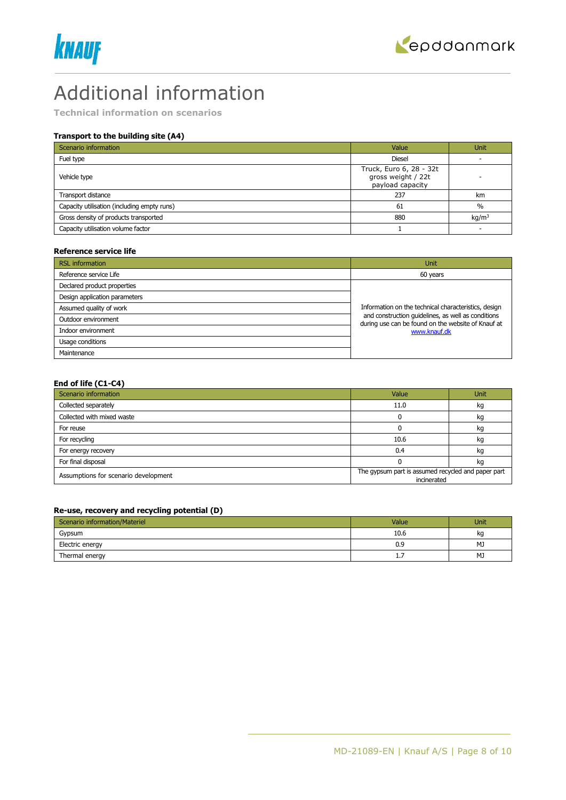



# Additional information

**Technical information on scenarios**

# **Transport to the building site (A4)**

| Scenario information                        | Value                                                             | <b>Unit</b>       |
|---------------------------------------------|-------------------------------------------------------------------|-------------------|
| Fuel type                                   | <b>Diesel</b>                                                     |                   |
| Vehicle type                                | Truck, Euro 6, 28 - 32t<br>gross weight / 22t<br>payload capacity |                   |
| Transport distance                          | 237                                                               | km                |
| Capacity utilisation (including empty runs) | 61                                                                | $\%$              |
| Gross density of products transported       | 880                                                               | kg/m <sup>3</sup> |
| Capacity utilisation volume factor          |                                                                   |                   |

#### **Reference service life**

| <b>RSL</b> information        | <b>Unit</b>                                                                                              |  |  |
|-------------------------------|----------------------------------------------------------------------------------------------------------|--|--|
| Reference service Life        | 60 years                                                                                                 |  |  |
| Declared product properties   |                                                                                                          |  |  |
| Design application parameters |                                                                                                          |  |  |
| Assumed quality of work       | Information on the technical characteristics, design                                                     |  |  |
| Outdoor environment           | and construction quidelines, as well as conditions<br>during use can be found on the website of Knauf at |  |  |
| Indoor environment            | www.knauf.dk                                                                                             |  |  |
| Usage conditions              |                                                                                                          |  |  |
| Maintenance                   |                                                                                                          |  |  |

# **End of life (C1-C4)**

| Scenario information                 | Value                                                             | Unit |
|--------------------------------------|-------------------------------------------------------------------|------|
| Collected separately                 | 11.0                                                              | kg   |
| Collected with mixed waste           |                                                                   | kg   |
| For reuse                            |                                                                   | kq   |
| For recycling                        | 10.6                                                              | kg   |
| For energy recovery                  | 0.4                                                               | kq   |
| For final disposal                   |                                                                   | κg   |
| Assumptions for scenario development | The gypsum part is assumed recycled and paper part<br>incinerated |      |

### **Re-use, recovery and recycling potential (D)**

| Scenario information/Materiel | Value     | Unit |
|-------------------------------|-----------|------|
| Gypsum                        | 10.6      | kq   |
| Electric energy               | 0.9       | MJ   |
| Thermal energy                | <b>L.</b> | MJ   |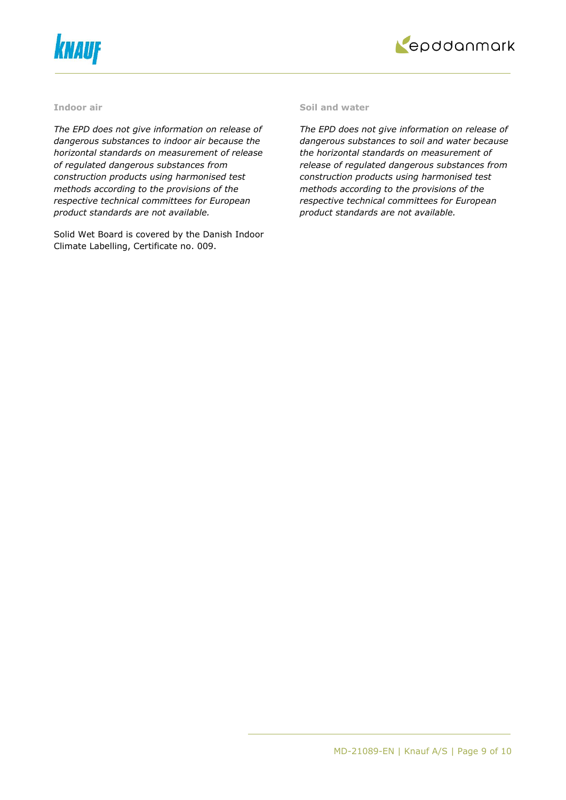



#### **Indoor air**

*The EPD does not give information on release of dangerous substances to indoor air because the horizontal standards on measurement of release of regulated dangerous substances from construction products using harmonised test methods according to the provisions of the respective technical committees for European product standards are not available.*

Solid Wet Board is covered by the Danish Indoor Climate Labelling, Certificate no. 009.

#### **Soil and water**

*The EPD does not give information on release of dangerous substances to soil and water because the horizontal standards on measurement of release of regulated dangerous substances from construction products using harmonised test methods according to the provisions of the respective technical committees for European product standards are not available.*